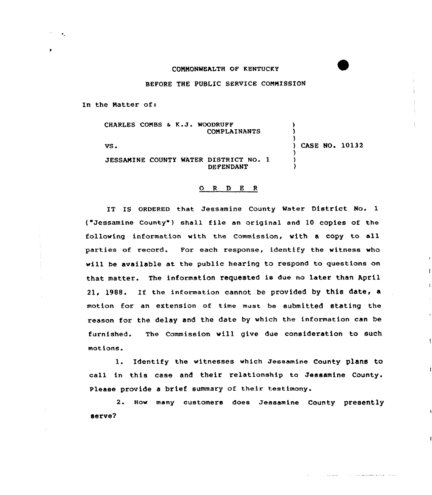## COMMONWEALTH OF KENTUCKY

BEFORE THE PUBLIC SERVICE COMMISSION

In the Natter of:

CHARLES COMBS & K.J. WOODRUFF CQNPLAINANTS

VS.

) CASE NO. 10132

1

 $\mathbf{I}$ 

) ) )

) ) )

JESSAMINE COUNTY WATER DISTRICT NO. 1 DEFENDANT

## 0 <sup>R</sup> <sup>D</sup> <sup>E</sup> <sup>R</sup>

IT IS ORDERED that Jessamine County Mater District No. 1 ( Jessamine County ) shall file an criginal and 10 copies of the following information with the Commission, with a copy to all parties of record. For each response, identify the witness who will be available at the public hearing to respond to questions on that matter. The information requested is due no later than April 21, 1988. If the information cannot be provided by this date, a motion for an extension of time must be submitted stating the reason for the delay and the date by which the information can be furnished. The Commission will give due consideration to such motions.

l. Identify the witnesses which Jessamine County plans to call in this case and their relationship to Jessamine County. Please provide a brief summary of their testimony.

2. How many customers does Jessamine County presently serve?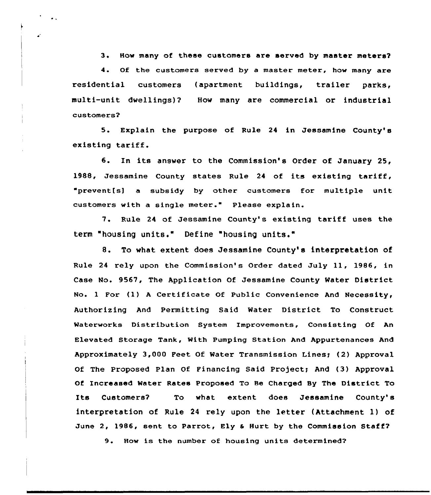3. How many of these customers are served by master meters?

<sup>4</sup> Of the customers served by a master meter, how many are residential customers (apartment buildings, trailer parks, multi-unit dwellings)? How many are commercial or industrial customers?

 $\ddot{\phantom{a}}$ 

5. Explain the purpose of Rule <sup>24</sup> in Jessamine County's existing tariff.

6. In its answer to the Commission's Order of January 25, 1988, Jessamine County states Rule <sup>24</sup> of its existing tariff, "prevent(s) a subsidy by othex customexs fox multiple unit customers with a single meter." Please explain.

7. Rule 24 of Jessamine County's existing tariff uses the term "housing units." Define "housing units."

8. To what extent does Jessamine County's interpretation of Rule 24 rely upon the Commission's Order dated July 11, 1986, in Case No. 9567, The Application Of Jessamine County Water District No. <sup>1</sup> For (1) <sup>A</sup> Certificate Of Public Convenience And Necessity, Authorizing And Permitting Said Water District To Construct Waterworks Distribution System improvements, Consisting Of An Elevated Storage Tank, With Pumping Station And Appurtenances And Approximately 3,000 Feet Of Water Transmission Lines; (2) Approval Of The Proposed Plan Of Financing Said Project; And (3) Approval Of Increased Water Rates Proposed To Be Charged By The District To Its Customers? To what extent does Jessamine County's interpretation of Rule <sup>24</sup> rely upon the letter (Attachment l) of June 2, 1986, sent to Parrot, Ely & Hurt by the Commission Staff?

9. How is the number of housing units determined7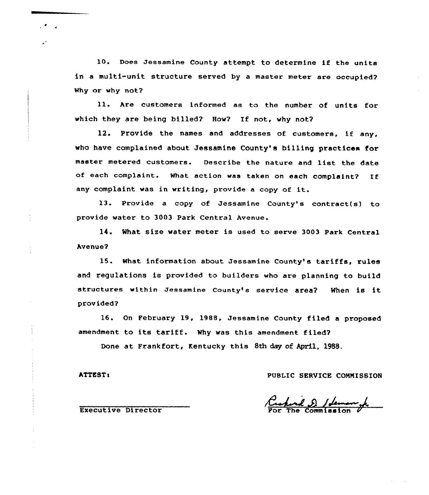10. Does Jessamine County attempt to determine if the units in a multi-unit structure served by a master meter are occupied? Why or why not?

11. Are customers informed as to the number of units for which they are being billed? How? If not, why not?

12. Provide the names and addresses of customers, if any, who have complained about Jessamine County's billing practices for master metered customers. Describe the nature and list the date of each complaint. What action was taken on each complaint? If any complaint was in writing, provide <sup>a</sup> copy of it.

13. Provide <sup>a</sup> copy of Jessamine County's contract(s) to provide water to 3003 Park Central Avenue.

14. What size water meter is used to serve 3003 Park Central Avenue?

15. What information about Jessamine County's tariffs, rules and regulations is provided to builders who are planning to build structures within Jessamine County's service area? When is it provided?

16. On February 19, 1988, Jessamine County filed a proposed amendment to its tariff. Why was this amendment filed'?

Done at Frankfort, Kentucky this 8th day of April, 1988.

ATTEST: PUBLIC SERVICE COMMISSION

Executive Director

 $\mathcal{L}$ 

 $\mathbf{z}^{\star}$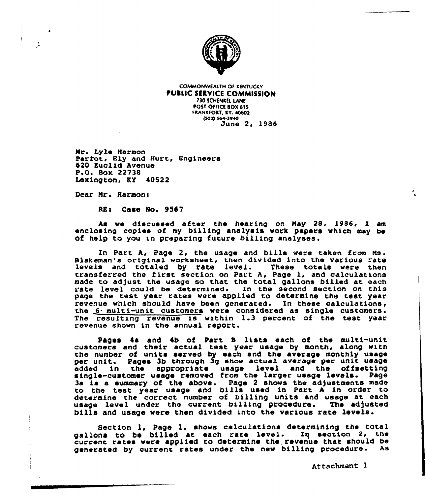

**COMMONWEALTH OF KENTUCKY PUBLIC SERVICE COMMISSION POST OFFICE BOX 615 FRANKFORT, KY. 40602** (502) 564-3940 Dune 2, 1986

Nr. Lyle Harmon Partot, Ely and Hurt, Engineers 620 Euclid Avenue P.O. Box 22738 Lexington, KY 40522

Dear Mr. Harmon:

REs Case No. 9557

hs we discussed after the hearing on Nay 28, 1986, I am enclosing copies of my billing analysis work papers which may be of help to you in preparing future billing analyses.

In Part A, Page 2, the usage and bills were taken from Ms. Blakeman's original vorksheec, chen divided into the various rate levels and totaled by rate level. These totals vere chen cransferred the first section on Part A, Page 1, and calculations made co adjust the usage so that the total gallons billed at each rate level could be determined. In the second section on this page the test, year rates were applied to determine the test year revenue which should have been generated. In these calculations, the 6- multi-unit customers were considered as single customers. The resulting revenue is within 1.3 percent of the test year revenue shown in the annual report.

Pages 4a and 4b of Part B lists each of the multi-unit customers and their actual test, year usage by month, along with the number of units served by each and the average monthly usage per unit. Pages 3b through 3g show actual average per unit usage added in the appropriate usage level and the offsetting single-customer usage removed from the larger usage levels. Page 3a is a summary of the above. Page <sup>2</sup> shows the adjustments made to the test year usage and bills used in Part A in order to determine the correct number of billing units and usage at each usage level under the current billing procedure. The adjusted bills and usage were then divided into the various rate levels.

Section 1, Page 1, shows calculations determining the total gallons to be billed at each rate level. Iq section 2, the current rates were applied to determine the. revenue that should be generated by current rates under the new billing procedure. As

Attachment 1